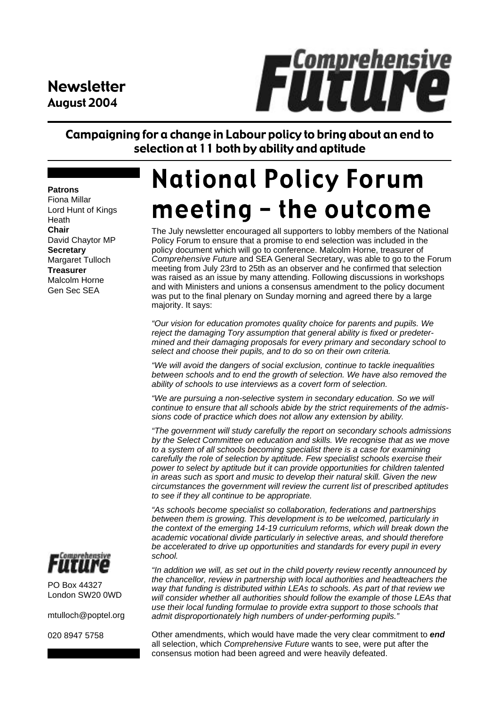### Newsletter August 2004



Campaigning for a change in Labour policy to bring about an end to selection at 11 both by ability and aptitude

#### **Patrons**

Fiona Millar Lord Hunt of Kings Heath **Chair** David Chaytor MP **Secretary** Margaret Tulloch **Treasurer** Malcolm Horne Gen Sec SEA

# **National Policy Forum** meeting - the outcome

The July newsletter encouraged all supporters to lobby members of the National Policy Forum to ensure that a promise to end selection was included in the policy document which will go to conference. Malcolm Horne, treasurer of *Comprehensive Future* and SEA General Secretary, was able to go to the Forum meeting from July 23rd to 25th as an observer and he confirmed that selection was raised as an issue by many attending. Following discussions in workshops and with Ministers and unions a consensus amendment to the policy document was put to the final plenary on Sunday morning and agreed there by a large majority. It says:

*"Our vision for education promotes quality choice for parents and pupils. We reject the damaging Tory assumption that general ability is fixed or predetermined and their damaging proposals for every primary and secondary school to select and choose their pupils, and to do so on their own criteria.*

*"We will avoid the dangers of social exclusion, continue to tackle inequalities between schools and to end the growth of selection. We have also removed the ability of schools to use interviews as a covert form of selection.*

*"We are pursuing a non-selective system in secondary education. So we will continue to ensure that all schools abide by the strict requirements of the admissions code of practice which does not allow any extension by ability.*

*"The government will study carefully the report on secondary schools admissions by the Select Committee on education and skills. We recognise that as we move to a system of all schools becoming specialist there is a case for examining carefully the role of selection by aptitude. Few specialist schools exercise their power to select by aptitude but it can provide opportunities for children talented in areas such as sport and music to develop their natural skill. Given the new circumstances the government will review the current list of prescribed aptitudes to see if they all continue to be appropriate.*

*"As schools become specialist so collaboration, federations and partnerships between them is growing. This development is to be welcomed, particularly in the context of the emerging 14-19 curriculum reforms, which will break down the academic vocational divide particularly in selective areas, and should therefore be accelerated to drive up opportunities and standards for every pupil in every school.*

*"In addition we will, as set out in the child poverty review recently announced by the chancellor, review in partnership with local authorities and headteachers the way that funding is distributed within LEAs to schools. As part of that review we will consider whether all authorities should follow the example of those LEAs that use their local funding formulae to provide extra support to those schools that admit disproportionately high numbers of under-performing pupils."*

Other amendments, which would have made the very clear commitment to *end* all selection, which *Comprehensive Future* wants to see, were put after the consensus motion had been agreed and were heavily defeated.



PO Box 44327 London SW20 0WD

mtulloch@poptel.org

020 8947 5758